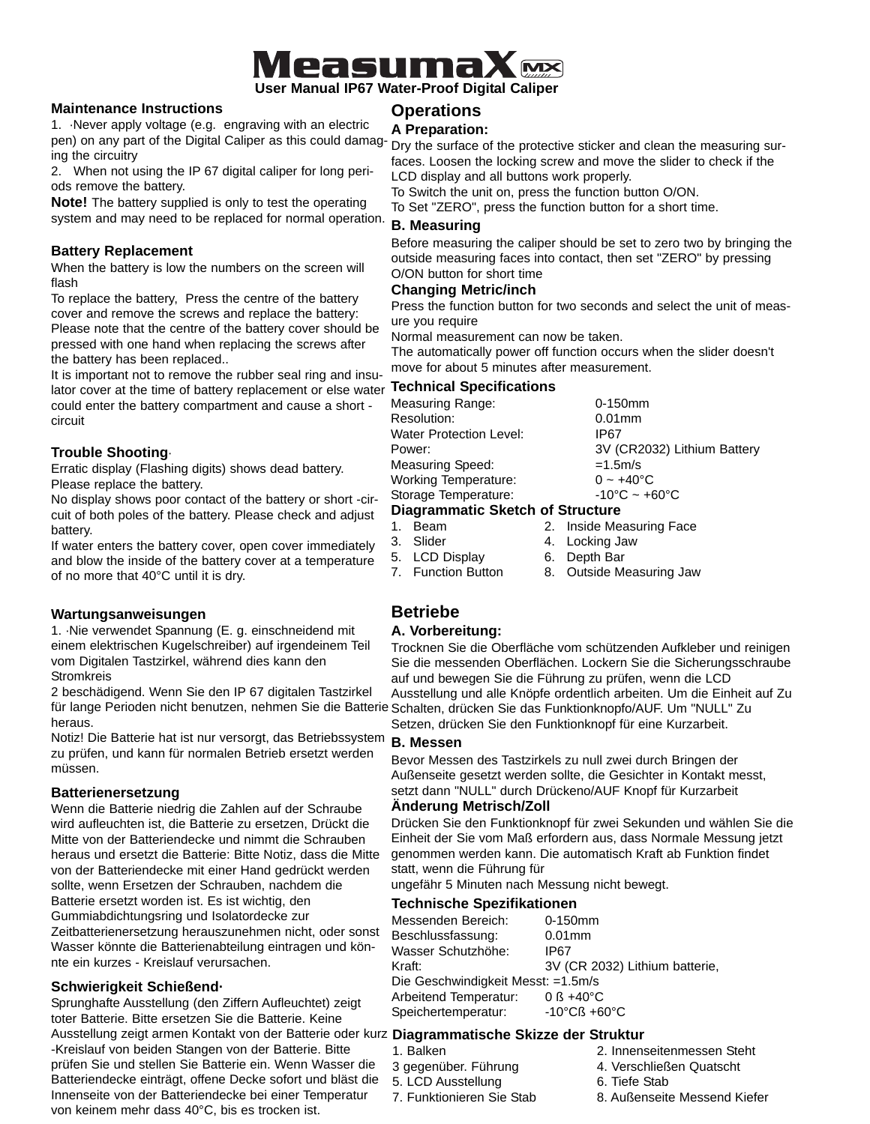

#### **Maintenance Instructions**

1. ·Never apply voltage (e.g. engraving with an electric pen) on any part of the Digital Caliper as this could damag-Dry the surface of the protective sticker and clean the measuring suring the circuitry

2. When not using the IP 67 digital caliper for long periods remove the battery.

**Note!** The battery supplied is only to test the operating system and may need to be replaced for normal operation.

#### **Battery Replacement**

When the battery is low the numbers on the screen will flash

To replace the battery, Press the centre of the battery cover and remove the screws and replace the battery: Please note that the centre of the battery cover should be pressed with one hand when replacing the screws after the battery has been replaced..

lator cover at the time of battery replacement or else water **Technical Specifications** It is important not to remove the rubber seal ring and insucould enter the battery compartment and cause a short circuit

#### **Trouble Shooting**·

Erratic display (Flashing digits) shows dead battery. Please replace the battery.

No display shows poor contact of the battery or short -ci cuit of both poles of the battery. Please check and adjus battery.

If water enters the battery cover, open cover immediately and blow the inside of the battery cover at a temperature of no more that 40°C until it is dry.

#### **Wartungsanweisungen**

1. ·Nie verwendet Spannung (E. g. einschneidend mit einem elektrischen Kugelschreiber) auf irgendeinem Teil vom Digitalen Tastzirkel, während dies kann den **Stromkreis** 

2 beschädigend. Wenn Sie den IP 67 digitalen Tastzirkel heraus.

Notiz! Die Batterie hat ist nur versorgt, das Betriebssystem zu prüfen, und kann für normalen Betrieb ersetzt werden müssen.

#### **Batterienersetzung**

Wenn die Batterie niedrig die Zahlen auf der Schraube wird aufleuchten ist, die Batterie zu ersetzen, Drückt die Mitte von der Batteriendecke und nimmt die Schrauben heraus und ersetzt die Batterie: Bitte Notiz, dass die Mitte von der Batteriendecke mit einer Hand gedrückt werden sollte, wenn Ersetzen der Schrauben, nachdem die Batterie ersetzt worden ist. Es ist wichtig, den Gummiabdichtungsring und Isolatordecke zur Zeitbatterienersetzung herauszunehmen nicht, oder sonst Wasser könnte die Batterienabteilung eintragen und könnte ein kurzes - Kreislauf verursachen.

#### **Schwierigkeit Schießend·**

Sprunghafte Ausstellung (den Ziffern Aufleuchtet) zeigt toter Batterie. Bitte ersetzen Sie die Batterie. Keine Ausstellung zeigt armen Kontakt von der Batterie oder kurz **Diagrammatische Skizze der Struktur** -Kreislauf von beiden Stangen von der Batterie. Bitte prüfen Sie und stellen Sie Batterie ein. Wenn Wasser die Batteriendecke einträgt, offene Decke sofort und bläst die Innenseite von der Batteriendecke bei einer Temperatur von keinem mehr dass 40°C, bis es trocken ist.

# **Operations**

**A Preparation:**

faces. Loosen the locking screw and move the slider to check if the LCD display and all buttons work properly.

To Switch the unit on, press the function button O/ON.

To Set "ZERO", press the function button for a short time.

#### **B. Measuring**

Before measuring the caliper should be set to zero two by bringing the outside measuring faces into contact, then set "ZERO" by pressing O/ON button for short time

#### **Changing Metric/inch**

Press the function button for two seconds and select the unit of measure you require

Normal measurement can now be taken.

The automatically power off function occurs when the slider doesn't move for about 5 minutes after measurement.

|     | Measuring Range:                        |  | $0-150$ mm                         |  |
|-----|-----------------------------------------|--|------------------------------------|--|
|     | Resolution:                             |  | $0.01$ mm                          |  |
|     | <b>Water Protection Level:</b>          |  | IP67                               |  |
|     | Power:                                  |  | 3V (CR2032) Lithium Battery        |  |
|     | <b>Measuring Speed:</b>                 |  | $=1.5m/s$                          |  |
|     | <b>Working Temperature:</b>             |  | $0 - +40$ °C                       |  |
| ir- | Storage Temperature:                    |  | $-10^{\circ}$ C ~ +60 $^{\circ}$ C |  |
| ŕ.  | <b>Diagrammatic Sketch of Structure</b> |  |                                    |  |
|     | Beam<br>1.                              |  | 2. Inside Measuring Face           |  |

- 
- 3. Slider 4. Locking Jaw
- 5. LCD Display 6. Depth Bar

7. Function Button 8. Outside Measuring Jaw

## **Betriebe**

#### **A. Vorbereitung:**

für lange Perioden nicht benutzen, nehmen Sie die Batterie Schalten, drücken Sie das Funktionknopfo/AUF. Um "NULL" Zu Trocknen Sie die Oberfläche vom schützenden Aufkleber und reinigen Sie die messenden Oberflächen. Lockern Sie die Sicherungsschraube auf und bewegen Sie die Führung zu prüfen, wenn die LCD Ausstellung und alle Knöpfe ordentlich arbeiten. Um die Einheit auf Zu

Setzen, drücken Sie den Funktionknopf für eine Kurzarbeit.

#### **B. Messen**

Bevor Messen des Tastzirkels zu null zwei durch Bringen der Außenseite gesetzt werden sollte, die Gesichter in Kontakt messt, setzt dann "NULL" durch Drückeno/AUF Knopf für Kurzarbeit

#### **Änderung Metrisch/Zoll**

Drücken Sie den Funktionknopf für zwei Sekunden und wählen Sie die Einheit der Sie vom Maß erfordern aus, dass Normale Messung jetzt genommen werden kann. Die automatisch Kraft ab Funktion findet statt, wenn die Führung für

ungefähr 5 Minuten nach Messung nicht bewegt.

#### **Technische Spezifikationen**

| Messenden Bereich:                 | $0-150$ mm                                    |  |  |  |
|------------------------------------|-----------------------------------------------|--|--|--|
| Beschlussfassung:                  | $0.01$ mm                                     |  |  |  |
| Wasser Schutzhöhe:                 | IP67                                          |  |  |  |
| Kraft:                             | 3V (CR 2032) Lithium batterie,                |  |  |  |
| Die Geschwindigkeit Messt: =1.5m/s |                                               |  |  |  |
| Arbeitend Temperatur:              | $0 \text{ }\frac{1}{2} + 40^{\circ} \text{C}$ |  |  |  |
| Speichertemperatur:                | $-10^{\circ}$ C $B$ +60 $^{\circ}$ C          |  |  |  |

- 2. Innenseitenmessen Steht 3 gegenüber. Führung **4. Verschließen Quatscht**
- 5. LCD Ausstellung 6. Tiefe Stab
- 7. Funktionieren Sie Stab 8. Außenseite Messend Kiefer
-